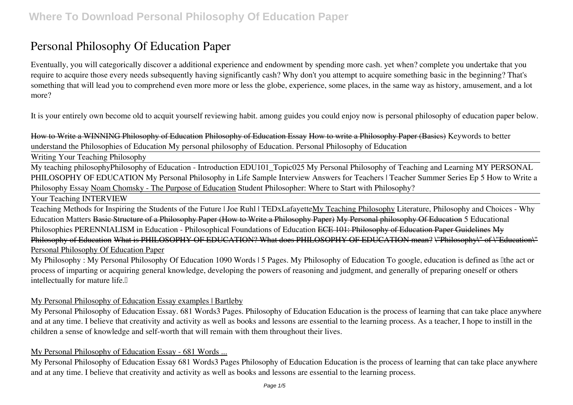# **Personal Philosophy Of Education Paper**

Eventually, you will categorically discover a additional experience and endowment by spending more cash. yet when? complete you undertake that you require to acquire those every needs subsequently having significantly cash? Why don't you attempt to acquire something basic in the beginning? That's something that will lead you to comprehend even more more or less the globe, experience, some places, in the same way as history, amusement, and a lot more?

It is your entirely own become old to acquit yourself reviewing habit. among guides you could enjoy now is **personal philosophy of education paper** below.

How to Write a WINNING Philosophy of Education Philosophy of Education Essay How to write a Philosophy Paper (Basics) *Keywords to better understand the Philosophies of Education My personal philosophy of Education. Personal Philosophy of Education*

Writing Your Teaching Philosophy

My teaching philosophy*Philosophy of Education - Introduction EDU101\_Topic025* My Personal Philosophy of Teaching and Learning *MY PERSONAL PHILOSOPHY OF EDUCATION My Personal Philosophy in Life* Sample Interview Answers for Teachers | Teacher Summer Series Ep 5 **How to Write a Philosophy Essay** Noam Chomsky - The Purpose of Education **Student Philosopher: Where to Start with Philosophy?**

Your Teaching INTERVIEW

Teaching Methods for Inspiring the Students of the Future | Joe Ruhl | TEDxLafayetteMy Teaching Philosophy *Literature, Philosophy and Choices - Why Education Matters* Basic Structure of a Philosophy Paper (How to Write a Philosophy Paper) My Personal philosophy Of Education *5 Educational Philosophies* PERENNIALISM in Education - Philosophical Foundations of Education ECE 101: Philosophy of Education Paper Guidelines My Philosophy of Education What is PHILOSOPHY OF EDUCATION? What does PHILOSOPHY OF EDUCATION mean? \"Philosophy\" of \"Education\" Personal Philosophy Of Education Paper

My Philosophy : My Personal Philosophy Of Education 1090 Words | 5 Pages. My Philosophy of Education To google, education is defined as lithe act or process of imparting or acquiring general knowledge, developing the powers of reasoning and judgment, and generally of preparing oneself or others intellectually for mature life.<sup>[]</sup>

# My Personal Philosophy of Education Essay examples | Bartleby

My Personal Philosophy of Education Essay. 681 Words3 Pages. Philosophy of Education Education is the process of learning that can take place anywhere and at any time. I believe that creativity and activity as well as books and lessons are essential to the learning process. As a teacher, I hope to instill in the children a sense of knowledge and self-worth that will remain with them throughout their lives.

# My Personal Philosophy of Education Essay - 681 Words ...

My Personal Philosophy of Education Essay 681 Words3 Pages Philosophy of Education Education is the process of learning that can take place anywhere and at any time. I believe that creativity and activity as well as books and lessons are essential to the learning process.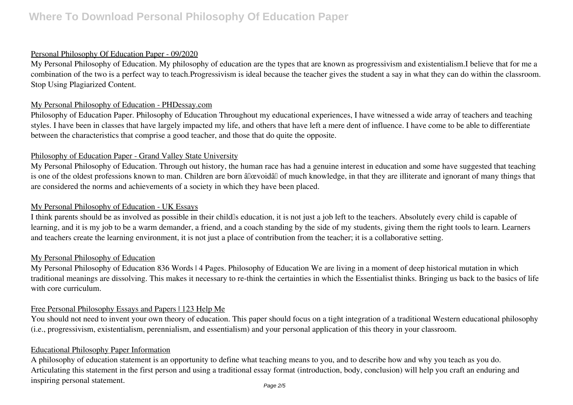### Personal Philosophy Of Education Paper - 09/2020

My Personal Philosophy of Education. My philosophy of education are the types that are known as progressivism and existentialism.I believe that for me a combination of the two is a perfect way to teach.Progressivism is ideal because the teacher gives the student a say in what they can do within the classroom. Stop Using Plagiarized Content.

#### My Personal Philosophy of Education - PHDessay.com

Philosophy of Education Paper. Philosophy of Education Throughout my educational experiences, I have witnessed a wide array of teachers and teaching styles. I have been in classes that have largely impacted my life, and others that have left a mere dent of influence. I have come to be able to differentiate between the characteristics that comprise a good teacher, and those that do quite the opposite.

#### Philosophy of Education Paper - Grand Valley State University

My Personal Philosophy of Education. Through out history, the human race has had a genuine interest in education and some have suggested that teaching is one of the oldest professions known to man. Children are born âllowoidâl of much knowledge, in that they are illiterate and ignorant of many things that are considered the norms and achievements of a society in which they have been placed.

# My Personal Philosophy of Education - UK Essays

I think parents should be as involved as possible in their child<sup>'s</sup> education, it is not just a job left to the teachers. Absolutely every child is capable of learning, and it is my job to be a warm demander, a friend, and a coach standing by the side of my students, giving them the right tools to learn. Learners and teachers create the learning environment, it is not just a place of contribution from the teacher; it is a collaborative setting.

#### My Personal Philosophy of Education

My Personal Philosophy of Education 836 Words | 4 Pages. Philosophy of Education We are living in a moment of deep historical mutation in which traditional meanings are dissolving. This makes it necessary to re-think the certainties in which the Essentialist thinks. Bringing us back to the basics of life with core curriculum.

# Free Personal Philosophy Essays and Papers | 123 Help Me

You should not need to invent your own theory of education. This paper should focus on a tight integration of a traditional Western educational philosophy (i.e., progressivism, existentialism, perennialism, and essentialism) and your personal application of this theory in your classroom.

#### Educational Philosophy Paper Information

A philosophy of education statement is an opportunity to define what teaching means to you, and to describe how and why you teach as you do. Articulating this statement in the first person and using a traditional essay format (introduction, body, conclusion) will help you craft an enduring and inspiring personal statement.

Page 2/5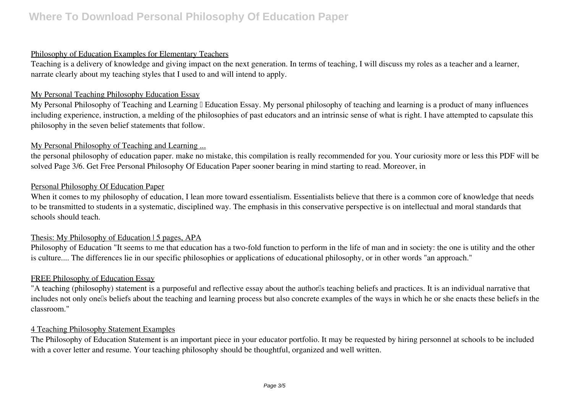### Philosophy of Education Examples for Elementary Teachers

Teaching is a delivery of knowledge and giving impact on the next generation. In terms of teaching, I will discuss my roles as a teacher and a learner, narrate clearly about my teaching styles that I used to and will intend to apply.

#### My Personal Teaching Philosophy Education Essay

My Personal Philosophy of Teaching and Learning I Education Essay. My personal philosophy of teaching and learning is a product of many influences including experience, instruction, a melding of the philosophies of past educators and an intrinsic sense of what is right. I have attempted to capsulate this philosophy in the seven belief statements that follow.

# My Personal Philosophy of Teaching and Learning ...

the personal philosophy of education paper. make no mistake, this compilation is really recommended for you. Your curiosity more or less this PDF will be solved Page 3/6. Get Free Personal Philosophy Of Education Paper sooner bearing in mind starting to read. Moreover, in

# Personal Philosophy Of Education Paper

When it comes to my philosophy of education, I lean more toward essentialism. Essentialists believe that there is a common core of knowledge that needs to be transmitted to students in a systematic, disciplined way. The emphasis in this conservative perspective is on intellectual and moral standards that schools should teach.

# Thesis: My Philosophy of Education | 5 pages, APA

Philosophy of Education "It seems to me that education has a two-fold function to perform in the life of man and in society: the one is utility and the other is culture.... The differences lie in our specific philosophies or applications of educational philosophy, or in other words "an approach."

#### FREE Philosophy of Education Essay

"A teaching (philosophy) statement is a purposeful and reflective essay about the author<sup>or</sup>s teaching beliefs and practices. It is an individual narrative that includes not only onells beliefs about the teaching and learning process but also concrete examples of the ways in which he or she enacts these beliefs in the classroom."

# 4 Teaching Philosophy Statement Examples

The Philosophy of Education Statement is an important piece in your educator portfolio. It may be requested by hiring personnel at schools to be included with a cover letter and resume. Your teaching philosophy should be thoughtful, organized and well written.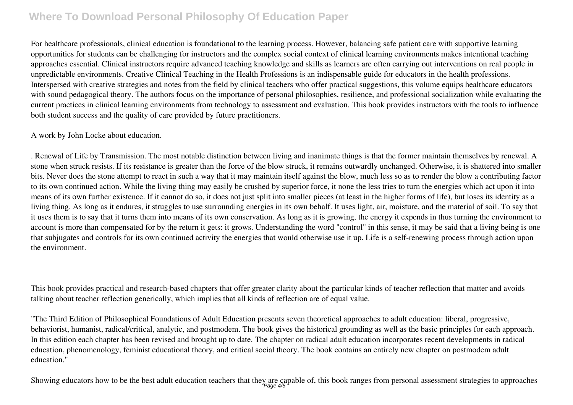For healthcare professionals, clinical education is foundational to the learning process. However, balancing safe patient care with supportive learning opportunities for students can be challenging for instructors and the complex social context of clinical learning environments makes intentional teaching approaches essential. Clinical instructors require advanced teaching knowledge and skills as learners are often carrying out interventions on real people in unpredictable environments. Creative Clinical Teaching in the Health Professions is an indispensable guide for educators in the health professions. Interspersed with creative strategies and notes from the field by clinical teachers who offer practical suggestions, this volume equips healthcare educators with sound pedagogical theory. The authors focus on the importance of personal philosophies, resilience, and professional socialization while evaluating the current practices in clinical learning environments from technology to assessment and evaluation. This book provides instructors with the tools to influence both student success and the quality of care provided by future practitioners.

#### A work by John Locke about education.

. Renewal of Life by Transmission. The most notable distinction between living and inanimate things is that the former maintain themselves by renewal. A stone when struck resists. If its resistance is greater than the force of the blow struck, it remains outwardly unchanged. Otherwise, it is shattered into smaller bits. Never does the stone attempt to react in such a way that it may maintain itself against the blow, much less so as to render the blow a contributing factor to its own continued action. While the living thing may easily be crushed by superior force, it none the less tries to turn the energies which act upon it into means of its own further existence. If it cannot do so, it does not just split into smaller pieces (at least in the higher forms of life), but loses its identity as a living thing. As long as it endures, it struggles to use surrounding energies in its own behalf. It uses light, air, moisture, and the material of soil. To say that it uses them is to say that it turns them into means of its own conservation. As long as it is growing, the energy it expends in thus turning the environment to account is more than compensated for by the return it gets: it grows. Understanding the word "control" in this sense, it may be said that a living being is one that subjugates and controls for its own continued activity the energies that would otherwise use it up. Life is a self-renewing process through action upon the environment.

This book provides practical and research-based chapters that offer greater clarity about the particular kinds of teacher reflection that matter and avoids talking about teacher reflection generically, which implies that all kinds of reflection are of equal value.

"The Third Edition of Philosophical Foundations of Adult Education presents seven theoretical approaches to adult education: liberal, progressive, behaviorist, humanist, radical/critical, analytic, and postmodem. The book gives the historical grounding as well as the basic principles for each approach. In this edition each chapter has been revised and brought up to date. The chapter on radical adult education incorporates recent developments in radical education, phenomenology, feminist educational theory, and critical social theory. The book contains an entirely new chapter on postmodem adult education."

Showing educators how to be the best adult education teachers that they are capable of, this book ranges from personal assessment strategies to approaches